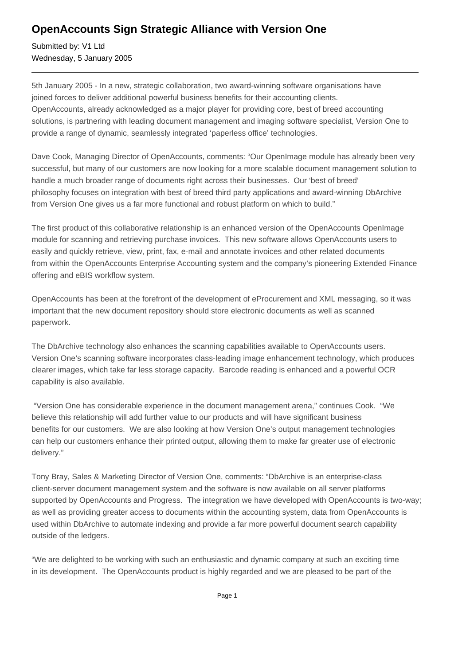## **OpenAccounts Sign Strategic Alliance with Version One**

Submitted by: V1 Ltd Wednesday, 5 January 2005

5th January 2005 - In a new, strategic collaboration, two award-winning software organisations have joined forces to deliver additional powerful business benefits for their accounting clients. OpenAccounts, already acknowledged as a major player for providing core, best of breed accounting solutions, is partnering with leading document management and imaging software specialist, Version One to provide a range of dynamic, seamlessly integrated 'paperless office' technologies.

Dave Cook, Managing Director of OpenAccounts, comments: "Our OpenImage module has already been very successful, but many of our customers are now looking for a more scalable document management solution to handle a much broader range of documents right across their businesses. Our 'best of breed' philosophy focuses on integration with best of breed third party applications and award-winning DbArchive from Version One gives us a far more functional and robust platform on which to build."

The first product of this collaborative relationship is an enhanced version of the OpenAccounts OpenImage module for scanning and retrieving purchase invoices. This new software allows OpenAccounts users to easily and quickly retrieve, view, print, fax, e-mail and annotate invoices and other related documents from within the OpenAccounts Enterprise Accounting system and the company's pioneering Extended Finance offering and eBIS workflow system.

OpenAccounts has been at the forefront of the development of eProcurement and XML messaging, so it was important that the new document repository should store electronic documents as well as scanned paperwork.

The DbArchive technology also enhances the scanning capabilities available to OpenAccounts users. Version One's scanning software incorporates class-leading image enhancement technology, which produces clearer images, which take far less storage capacity. Barcode reading is enhanced and a powerful OCR capability is also available.

 "Version One has considerable experience in the document management arena," continues Cook. "We believe this relationship will add further value to our products and will have significant business benefits for our customers. We are also looking at how Version One's output management technologies can help our customers enhance their printed output, allowing them to make far greater use of electronic delivery."

Tony Bray, Sales & Marketing Director of Version One, comments: "DbArchive is an enterprise-class client-server document management system and the software is now available on all server platforms supported by OpenAccounts and Progress. The integration we have developed with OpenAccounts is two-way; as well as providing greater access to documents within the accounting system, data from OpenAccounts is used within DbArchive to automate indexing and provide a far more powerful document search capability outside of the ledgers.

"We are delighted to be working with such an enthusiastic and dynamic company at such an exciting time in its development. The OpenAccounts product is highly regarded and we are pleased to be part of the